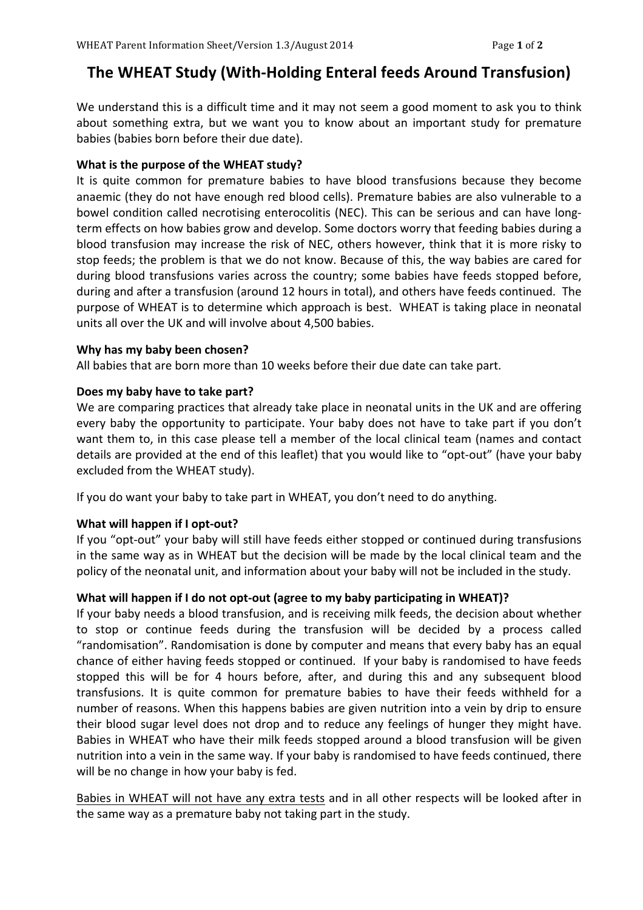# **The WHEAT Study (With-Holding Enteral feeds Around Transfusion)**

We understand this is a difficult time and it may not seem a good moment to ask you to think about something extra, but we want you to know about an important study for premature babies (babies born before their due date).

# **What is the purpose of the WHEAT study?**

It is quite common for premature babies to have blood transfusions because they become anaemic (they do not have enough red blood cells). Premature babies are also vulnerable to a bowel condition called necrotising enterocolitis (NEC). This can be serious and can have longterm effects on how babies grow and develop. Some doctors worry that feeding babies during a blood transfusion may increase the risk of NEC, others however, think that it is more risky to stop feeds; the problem is that we do not know. Because of this, the way babies are cared for during blood transfusions varies across the country; some babies have feeds stopped before, during and after a transfusion (around 12 hours in total), and others have feeds continued. The purpose of WHEAT is to determine which approach is best. WHEAT is taking place in neonatal units all over the UK and will involve about 4,500 babies.

# Why has my baby been chosen?

All babies that are born more than 10 weeks before their due date can take part.

# Does my baby have to take part?

We are comparing practices that already take place in neonatal units in the UK and are offering every baby the opportunity to participate. Your baby does not have to take part if you don't want them to, in this case please tell a member of the local clinical team (names and contact details are provided at the end of this leaflet) that you would like to "opt-out" (have your baby excluded from the WHEAT study).

If you do want your baby to take part in WHEAT, you don't need to do anything.

# **What will happen if I opt-out?**

If you "opt-out" your baby will still have feeds either stopped or continued during transfusions in the same way as in WHEAT but the decision will be made by the local clinical team and the policy of the neonatal unit, and information about your baby will not be included in the study.

# **What will happen if I do not opt-out (agree to my baby participating in WHEAT)?**

If your baby needs a blood transfusion, and is receiving milk feeds, the decision about whether to stop or continue feeds during the transfusion will be decided by a process called "randomisation". Randomisation is done by computer and means that every baby has an equal chance of either having feeds stopped or continued. If your baby is randomised to have feeds stopped this will be for 4 hours before, after, and during this and any subsequent blood transfusions. It is quite common for premature babies to have their feeds withheld for a number of reasons. When this happens babies are given nutrition into a vein by drip to ensure their blood sugar level does not drop and to reduce any feelings of hunger they might have. Babies in WHEAT who have their milk feeds stopped around a blood transfusion will be given nutrition into a vein in the same way. If your baby is randomised to have feeds continued, there will be no change in how your baby is fed.

Babies in WHEAT will not have any extra tests and in all other respects will be looked after in the same way as a premature baby not taking part in the study.